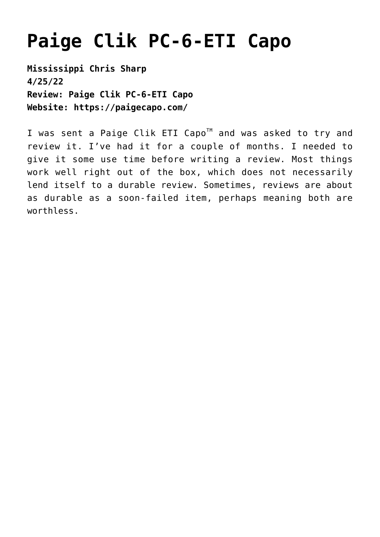## **[Paige Clik PC-6-ETI Capo](https://thebluegrassstandard.com/paige-clik-pc-6-eti-capo/)**

**Mississippi Chris Sharp 4/25/22 Review: Paige Clik PC-6-ETI Capo Website: <https://paigecapo.com/>**

I was sent a Paige Clik ETI Capo<sup>™</sup> and was asked to try and review it. I've had it for a couple of months. I needed to give it some use time before writing a review. Most things work well right out of the box, which does not necessarily lend itself to a durable review. Sometimes, reviews are about as durable as a soon-failed item, perhaps meaning both are worthless.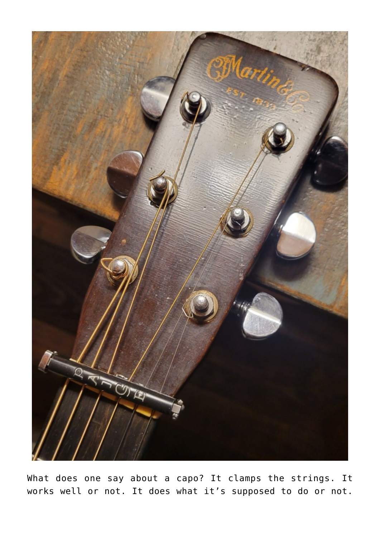

What does one say about a capo? It clamps the strings. It works well or not. It does what it's supposed to do or not.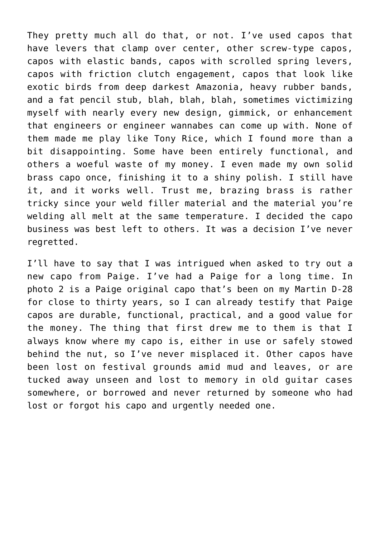They pretty much all do that, or not. I've used capos that have levers that clamp over center, other screw-type capos, capos with elastic bands, capos with scrolled spring levers, capos with friction clutch engagement, capos that look like exotic birds from deep darkest Amazonia, heavy rubber bands, and a fat pencil stub, blah, blah, blah, sometimes victimizing myself with nearly every new design, gimmick, or enhancement that engineers or engineer wannabes can come up with. None of them made me play like Tony Rice, which I found more than a bit disappointing. Some have been entirely functional, and others a woeful waste of my money. I even made my own solid brass capo once, finishing it to a shiny polish. I still have it, and it works well. Trust me, brazing brass is rather tricky since your weld filler material and the material you're welding all melt at the same temperature. I decided the capo business was best left to others. It was a decision I've never regretted.

I'll have to say that I was intrigued when asked to try out a new capo from Paige. I've had a Paige for a long time. In photo 2 is a Paige original capo that's been on my Martin D-28 for close to thirty years, so I can already testify that Paige capos are durable, functional, practical, and a good value for the money. The thing that first drew me to them is that I always know where my capo is, either in use or safely stowed behind the nut, so I've never misplaced it. Other capos have been lost on festival grounds amid mud and leaves, or are tucked away unseen and lost to memory in old guitar cases somewhere, or borrowed and never returned by someone who had lost or forgot his capo and urgently needed one.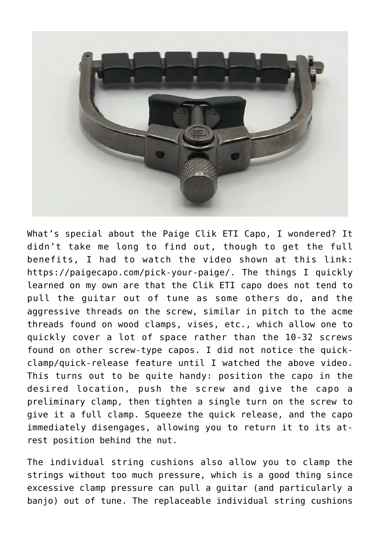

What's special about the Paige Clik ETI Capo, I wondered? It didn't take me long to find out, though to get the full benefits, I had to watch the video shown at this link: [https://paigecapo.com/pick-your-paige/.](https://paigecapo.com/pick-your-paige/) The things I quickly learned on my own are that the Clik ETI capo does not tend to pull the guitar out of tune as some others do, and the aggressive threads on the screw, similar in pitch to the acme threads found on wood clamps, vises, etc., which allow one to quickly cover a lot of space rather than the 10-32 screws found on other screw-type capos. I did not notice the quickclamp/quick-release feature until I watched the above video. This turns out to be quite handy: position the capo in the desired location, push the screw and give the capo a preliminary clamp, then tighten a single turn on the screw to give it a full clamp. Squeeze the quick release, and the capo immediately disengages, allowing you to return it to its atrest position behind the nut.

The individual string cushions also allow you to clamp the strings without too much pressure, which is a good thing since excessive clamp pressure can pull a guitar (and particularly a banjo) out of tune. The replaceable individual string cushions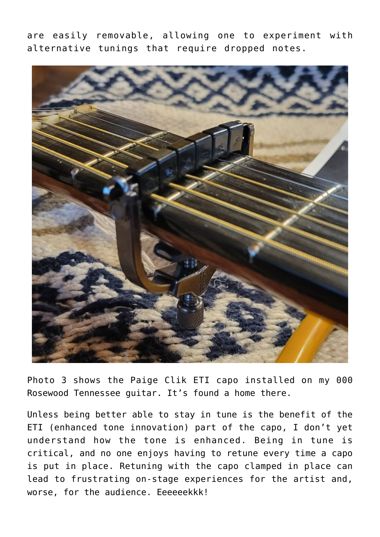are easily removable, allowing one to experiment with alternative tunings that require dropped notes.



Photo 3 shows the Paige Clik ETI capo installed on my 000 Rosewood Tennessee guitar. It's found a home there.

Unless being better able to stay in tune is the benefit of the ETI (enhanced tone innovation) part of the capo, I don't yet understand how the tone is enhanced. Being in tune is critical, and no one enjoys having to retune every time a capo is put in place. Retuning with the capo clamped in place can lead to frustrating on-stage experiences for the artist and, worse, for the audience. Eeeeeekkk!